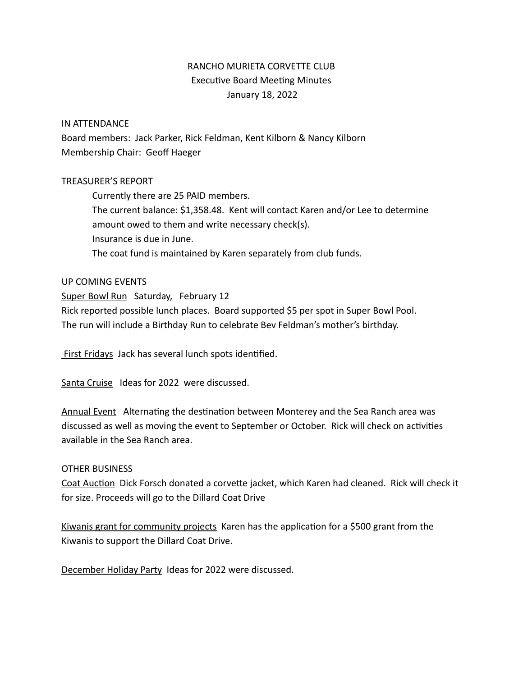# RANCHO MURIETA CORVETTE CLUB Executive Board Meeting Minutes January 18, 2022

### IN ATTENDANCE

Board members: Jack Parker, Rick Feldman, Kent Kilborn & Nancy Kilborn Membership Chair: Geoff Haeger

### TREASURER'S REPORT

Currently there are 25 PAID members. The current balance: \$1,358.48. Kent will contact Karen and/or Lee to determine amount owed to them and write necessary check(s). Insurance is due in June. The coat fund is maintained by Karen separately from club funds.

### UP COMING EVENTS

Super Bowl Run Saturday, February 12 Rick reported possible lunch places. Board supported \$5 per spot in Super Bowl Pool. The run will include a Birthday Run to celebrate Bev Feldman's mother's birthday.

First Fridays Jack has several lunch spots identified.

Santa Cruise Ideas for 2022 were discussed.

Annual Event Alternating the destination between Monterey and the Sea Ranch area was discussed as well as moving the event to September or October. Rick will check on activities available in the Sea Ranch area.

## OTHER BUSINESS

Coat Auction Dick Forsch donated a corvette jacket, which Karen had cleaned. Rick will check it for size. Proceeds will go to the Dillard Coat Drive

Kiwanis grant for community projects Karen has the application for a \$500 grant from the Kiwanis to support the Dillard Coat Drive.

December Holiday Party Ideas for 2022 were discussed.